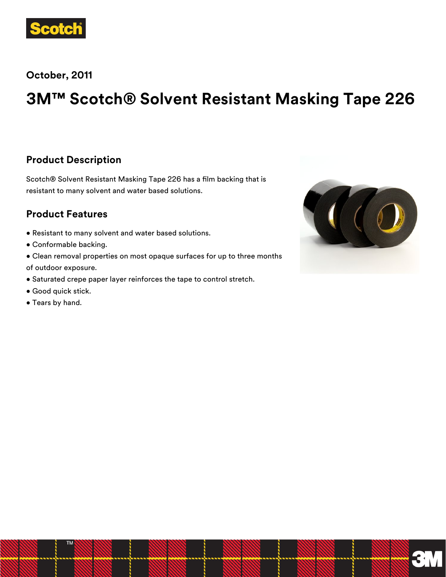

**October, 2011**

# **3M™ Scotch® Solvent Resistant Masking Tape 226**

#### **Product Description**

Scotch® Solvent Resistant Masking Tape 226 has a film backing that is resistant to many solvent and water based solutions.

#### **Product Features**

- Resistant to many solvent and water based solutions.
- Conformable backing.
- Clean removal properties on most opaque surfaces for up to three months of outdoor exposure.
- Saturated crepe paper layer reinforces the tape to control stretch.
- Good quick stick.
- Tears by hand.

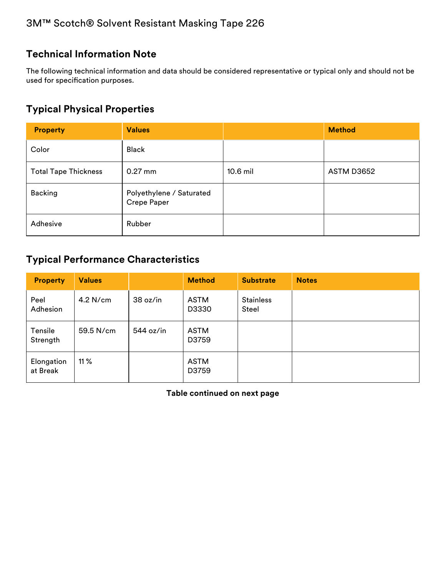## **Technical Information Note**

The following technical information and data should be considered representative or typical only and should not be used for specification purposes.

#### **Typical Physical Properties**

| <b>Property</b>             | <b>Values</b>                           |            | <b>Method</b>     |
|-----------------------------|-----------------------------------------|------------|-------------------|
| Color                       | <b>Black</b>                            |            |                   |
| <b>Total Tape Thickness</b> | $0.27$ mm                               | $10.6$ mil | <b>ASTM D3652</b> |
| <b>Backing</b>              | Polyethylene / Saturated<br>Crepe Paper |            |                   |
| Adhesive                    | Rubber                                  |            |                   |

## **Typical Performance Characteristics**

| <b>Property</b>        | <b>Values</b> |           | <b>Method</b>        | <b>Substrate</b>          | <b>Notes</b> |
|------------------------|---------------|-----------|----------------------|---------------------------|--------------|
| Peel<br>Adhesion       | 4.2 N/cm      | 38 oz/in  | <b>ASTM</b><br>D3330 | <b>Stainless</b><br>Steel |              |
| Tensile<br>Strength    | 59.5 N/cm     | 544 oz/in | ASTM<br>D3759        |                           |              |
| Elongation<br>at Break | 11 $%$        |           | <b>ASTM</b><br>D3759 |                           |              |

**Table continued on next page**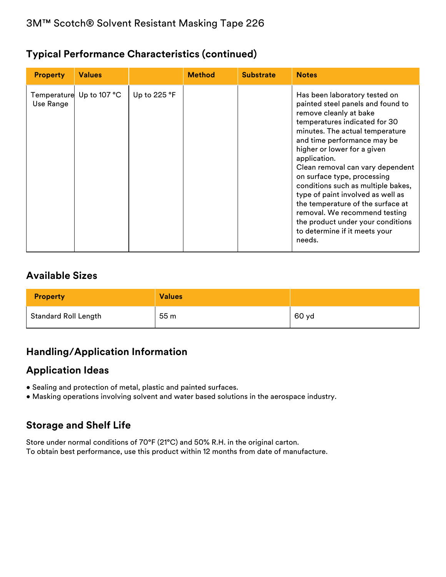#### **Typical Performance Characteristics (continued)**

| <b>Property</b> | <b>Values</b>            |              | <b>Method</b> | <b>Substrate</b> | <b>Notes</b>                                                                                                                                                                                                                                                                                                                                                                                                                                                                                                                                       |
|-----------------|--------------------------|--------------|---------------|------------------|----------------------------------------------------------------------------------------------------------------------------------------------------------------------------------------------------------------------------------------------------------------------------------------------------------------------------------------------------------------------------------------------------------------------------------------------------------------------------------------------------------------------------------------------------|
| Use Range       | Temperature Up to 107 °C | Up to 225 °F |               |                  | Has been laboratory tested on<br>painted steel panels and found to<br>remove cleanly at bake<br>temperatures indicated for 30<br>minutes. The actual temperature<br>and time performance may be<br>higher or lower for a given<br>application.<br>Clean removal can vary dependent<br>on surface type, processing<br>conditions such as multiple bakes,<br>type of paint involved as well as<br>the temperature of the surface at<br>removal. We recommend testing<br>the product under your conditions<br>to determine if it meets your<br>needs. |

#### **Available Sizes**

| <b>Property</b>             | <b>Values</b> |       |
|-----------------------------|---------------|-------|
| <b>Standard Roll Length</b> | 55 m          | 60 yd |

# **Handling/Application Information**

## **Application Ideas**

- Sealing and protection of metal, plastic and painted surfaces.
- Masking operations involving solvent and water based solutions in the aerospace industry.

# **Storage and Shelf Life**

Store under normal conditions of 70°F (21°C) and 50% R.H. in the original carton. To obtain best performance, use this product within 12 months from date of manufacture.